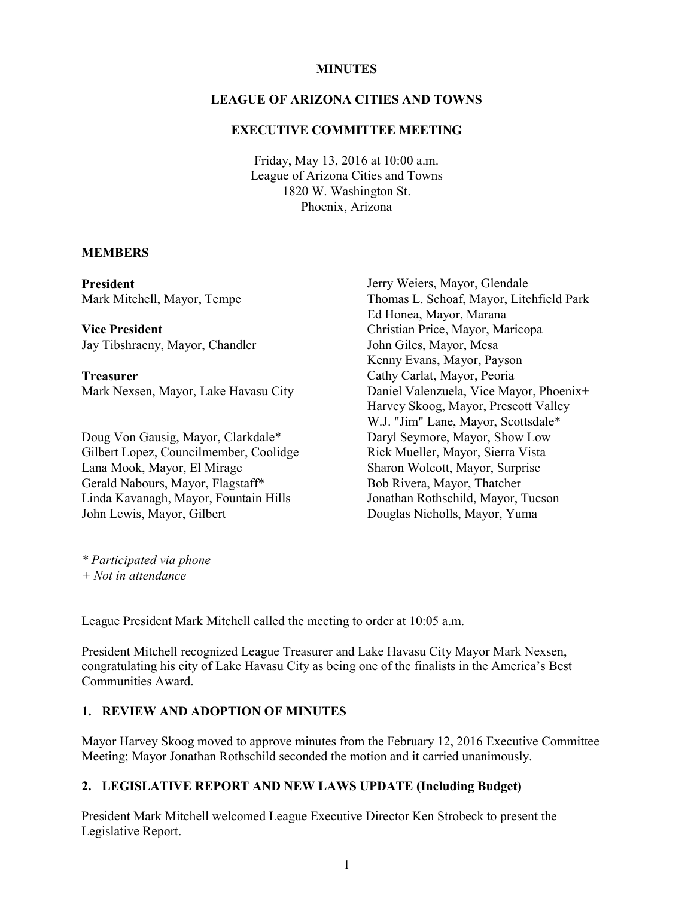#### **MINUTES**

#### LEAGUE OF ARIZONA CITIES AND TOWNS

#### EXECUTIVE COMMITTEE MEETING

Friday, May 13, 2016 at 10:00 a.m. League of Arizona Cities and Towns 1820 W. Washington St. Phoenix, Arizona

#### **MEMBERS**

President Mark Mitchell, Mayor, Tempe

Vice President Jay Tibshraeny, Mayor, Chandler

Treasurer Mark Nexsen, Mayor, Lake Havasu City

Doug Von Gausig, Mayor, Clarkdale\* Gilbert Lopez, Councilmember, Coolidge Lana Mook, Mayor, El Mirage Gerald Nabours, Mayor, Flagstaff\* Linda Kavanagh, Mayor, Fountain Hills John Lewis, Mayor, Gilbert

Jerry Weiers, Mayor, Glendale Thomas L. Schoaf, Mayor, Litchfield Park Ed Honea, Mayor, Marana Christian Price, Mayor, Maricopa John Giles, Mayor, Mesa Kenny Evans, Mayor, Payson Cathy Carlat, Mayor, Peoria Daniel Valenzuela, Vice Mayor, Phoenix+ Harvey Skoog, Mayor, Prescott Valley W.J. "Jim" Lane, Mayor, Scottsdale\* Daryl Seymore, Mayor, Show Low Rick Mueller, Mayor, Sierra Vista Sharon Wolcott, Mayor, Surprise Bob Rivera, Mayor, Thatcher Jonathan Rothschild, Mayor, Tucson Douglas Nicholls, Mayor, Yuma

\* Participated via phone + Not in attendance

League President Mark Mitchell called the meeting to order at 10:05 a.m.

President Mitchell recognized League Treasurer and Lake Havasu City Mayor Mark Nexsen, congratulating his city of Lake Havasu City as being one of the finalists in the America's Best Communities Award.

#### 1. REVIEW AND ADOPTION OF MINUTES

Mayor Harvey Skoog moved to approve minutes from the February 12, 2016 Executive Committee Meeting; Mayor Jonathan Rothschild seconded the motion and it carried unanimously.

#### 2. LEGISLATIVE REPORT AND NEW LAWS UPDATE (Including Budget)

President Mark Mitchell welcomed League Executive Director Ken Strobeck to present the Legislative Report.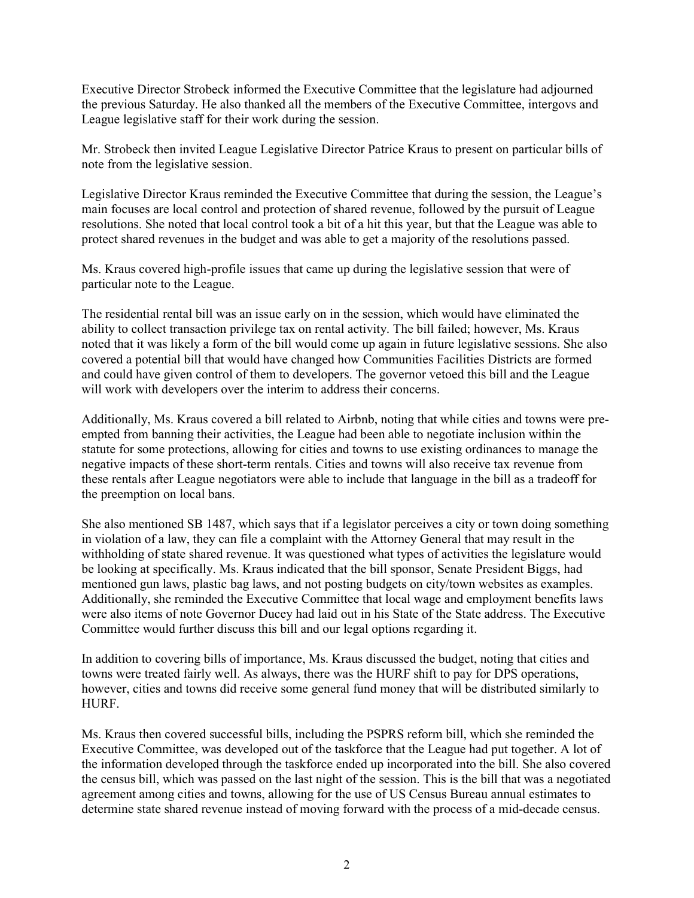Executive Director Strobeck informed the Executive Committee that the legislature had adjourned the previous Saturday. He also thanked all the members of the Executive Committee, intergovs and League legislative staff for their work during the session.

Mr. Strobeck then invited League Legislative Director Patrice Kraus to present on particular bills of note from the legislative session.

Legislative Director Kraus reminded the Executive Committee that during the session, the League's main focuses are local control and protection of shared revenue, followed by the pursuit of League resolutions. She noted that local control took a bit of a hit this year, but that the League was able to protect shared revenues in the budget and was able to get a majority of the resolutions passed.

Ms. Kraus covered high-profile issues that came up during the legislative session that were of particular note to the League.

The residential rental bill was an issue early on in the session, which would have eliminated the ability to collect transaction privilege tax on rental activity. The bill failed; however, Ms. Kraus noted that it was likely a form of the bill would come up again in future legislative sessions. She also covered a potential bill that would have changed how Communities Facilities Districts are formed and could have given control of them to developers. The governor vetoed this bill and the League will work with developers over the interim to address their concerns.

Additionally, Ms. Kraus covered a bill related to Airbnb, noting that while cities and towns were preempted from banning their activities, the League had been able to negotiate inclusion within the statute for some protections, allowing for cities and towns to use existing ordinances to manage the negative impacts of these short-term rentals. Cities and towns will also receive tax revenue from these rentals after League negotiators were able to include that language in the bill as a tradeoff for the preemption on local bans.

She also mentioned SB 1487, which says that if a legislator perceives a city or town doing something in violation of a law, they can file a complaint with the Attorney General that may result in the withholding of state shared revenue. It was questioned what types of activities the legislature would be looking at specifically. Ms. Kraus indicated that the bill sponsor, Senate President Biggs, had mentioned gun laws, plastic bag laws, and not posting budgets on city/town websites as examples. Additionally, she reminded the Executive Committee that local wage and employment benefits laws were also items of note Governor Ducey had laid out in his State of the State address. The Executive Committee would further discuss this bill and our legal options regarding it.

In addition to covering bills of importance, Ms. Kraus discussed the budget, noting that cities and towns were treated fairly well. As always, there was the HURF shift to pay for DPS operations, however, cities and towns did receive some general fund money that will be distributed similarly to HURF.

Ms. Kraus then covered successful bills, including the PSPRS reform bill, which she reminded the Executive Committee, was developed out of the taskforce that the League had put together. A lot of the information developed through the taskforce ended up incorporated into the bill. She also covered the census bill, which was passed on the last night of the session. This is the bill that was a negotiated agreement among cities and towns, allowing for the use of US Census Bureau annual estimates to determine state shared revenue instead of moving forward with the process of a mid-decade census.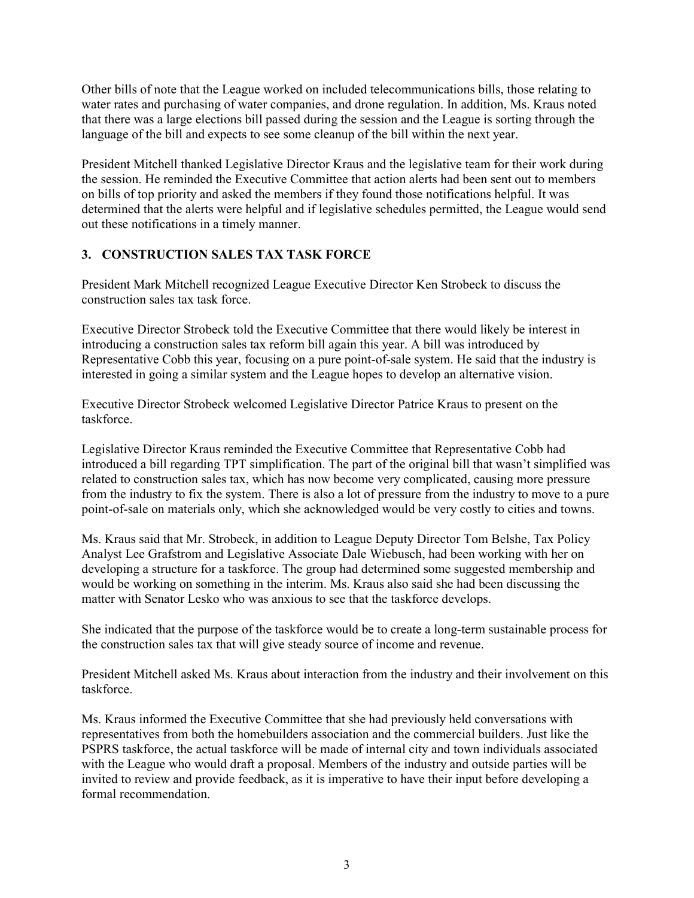Other bills of note that the League worked on included telecommunications bills, those relating to water rates and purchasing of water companies, and drone regulation. In addition, Ms. Kraus noted that there was a large elections bill passed during the session and the League is sorting through the language of the bill and expects to see some cleanup of the bill within the next year.

President Mitchell thanked Legislative Director Kraus and the legislative team for their work during the session. He reminded the Executive Committee that action alerts had been sent out to members on bills of top priority and asked the members if they found those notifications helpful. It was determined that the alerts were helpful and if legislative schedules permitted, the League would send out these notifications in a timely manner.

# 3. CONSTRUCTION SALES TAX TASK FORCE

President Mark Mitchell recognized League Executive Director Ken Strobeck to discuss the construction sales tax task force.

Executive Director Strobeck told the Executive Committee that there would likely be interest in introducing a construction sales tax reform bill again this year. A bill was introduced by Representative Cobb this year, focusing on a pure point-of-sale system. He said that the industry is interested in going a similar system and the League hopes to develop an alternative vision.

Executive Director Strobeck welcomed Legislative Director Patrice Kraus to present on the taskforce.

Legislative Director Kraus reminded the Executive Committee that Representative Cobb had introduced a bill regarding TPT simplification. The part of the original bill that wasn't simplified was related to construction sales tax, which has now become very complicated, causing more pressure from the industry to fix the system. There is also a lot of pressure from the industry to move to a pure point-of-sale on materials only, which she acknowledged would be very costly to cities and towns.

Ms. Kraus said that Mr. Strobeck, in addition to League Deputy Director Tom Belshe, Tax Policy Analyst Lee Grafstrom and Legislative Associate Dale Wiebusch, had been working with her on developing a structure for a taskforce. The group had determined some suggested membership and would be working on something in the interim. Ms. Kraus also said she had been discussing the matter with Senator Lesko who was anxious to see that the taskforce develops.

She indicated that the purpose of the taskforce would be to create a long-term sustainable process for the construction sales tax that will give steady source of income and revenue.

President Mitchell asked Ms. Kraus about interaction from the industry and their involvement on this taskforce.

Ms. Kraus informed the Executive Committee that she had previously held conversations with representatives from both the homebuilders association and the commercial builders. Just like the PSPRS taskforce, the actual taskforce will be made of internal city and town individuals associated with the League who would draft a proposal. Members of the industry and outside parties will be invited to review and provide feedback, as it is imperative to have their input before developing a formal recommendation.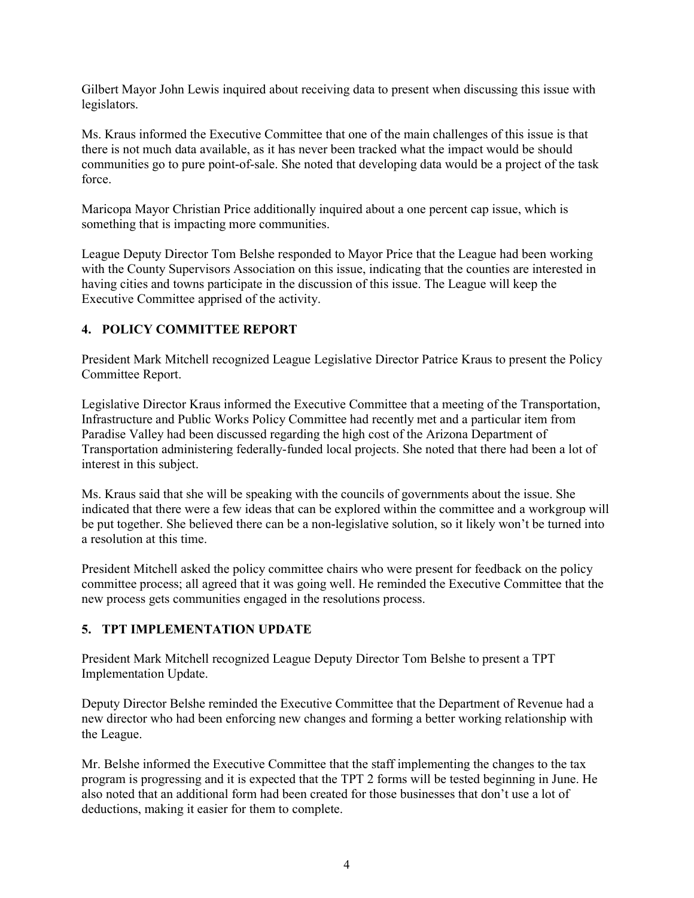Gilbert Mayor John Lewis inquired about receiving data to present when discussing this issue with legislators.

Ms. Kraus informed the Executive Committee that one of the main challenges of this issue is that there is not much data available, as it has never been tracked what the impact would be should communities go to pure point-of-sale. She noted that developing data would be a project of the task force.

Maricopa Mayor Christian Price additionally inquired about a one percent cap issue, which is something that is impacting more communities.

League Deputy Director Tom Belshe responded to Mayor Price that the League had been working with the County Supervisors Association on this issue, indicating that the counties are interested in having cities and towns participate in the discussion of this issue. The League will keep the Executive Committee apprised of the activity.

# 4. POLICY COMMITTEE REPORT

President Mark Mitchell recognized League Legislative Director Patrice Kraus to present the Policy Committee Report.

Legislative Director Kraus informed the Executive Committee that a meeting of the Transportation, Infrastructure and Public Works Policy Committee had recently met and a particular item from Paradise Valley had been discussed regarding the high cost of the Arizona Department of Transportation administering federally-funded local projects. She noted that there had been a lot of interest in this subject.

Ms. Kraus said that she will be speaking with the councils of governments about the issue. She indicated that there were a few ideas that can be explored within the committee and a workgroup will be put together. She believed there can be a non-legislative solution, so it likely won't be turned into a resolution at this time.

President Mitchell asked the policy committee chairs who were present for feedback on the policy committee process; all agreed that it was going well. He reminded the Executive Committee that the new process gets communities engaged in the resolutions process.

# 5. TPT IMPLEMENTATION UPDATE

President Mark Mitchell recognized League Deputy Director Tom Belshe to present a TPT Implementation Update.

Deputy Director Belshe reminded the Executive Committee that the Department of Revenue had a new director who had been enforcing new changes and forming a better working relationship with the League.

Mr. Belshe informed the Executive Committee that the staff implementing the changes to the tax program is progressing and it is expected that the TPT 2 forms will be tested beginning in June. He also noted that an additional form had been created for those businesses that don't use a lot of deductions, making it easier for them to complete.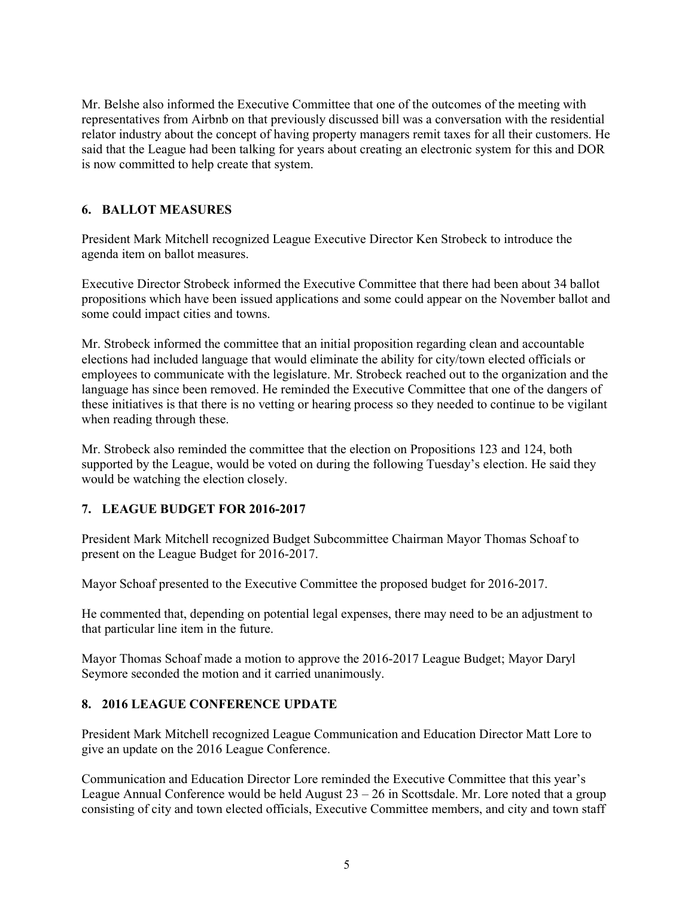Mr. Belshe also informed the Executive Committee that one of the outcomes of the meeting with representatives from Airbnb on that previously discussed bill was a conversation with the residential relator industry about the concept of having property managers remit taxes for all their customers. He said that the League had been talking for years about creating an electronic system for this and DOR is now committed to help create that system.

# 6. BALLOT MEASURES

President Mark Mitchell recognized League Executive Director Ken Strobeck to introduce the agenda item on ballot measures.

Executive Director Strobeck informed the Executive Committee that there had been about 34 ballot propositions which have been issued applications and some could appear on the November ballot and some could impact cities and towns.

Mr. Strobeck informed the committee that an initial proposition regarding clean and accountable elections had included language that would eliminate the ability for city/town elected officials or employees to communicate with the legislature. Mr. Strobeck reached out to the organization and the language has since been removed. He reminded the Executive Committee that one of the dangers of these initiatives is that there is no vetting or hearing process so they needed to continue to be vigilant when reading through these.

Mr. Strobeck also reminded the committee that the election on Propositions 123 and 124, both supported by the League, would be voted on during the following Tuesday's election. He said they would be watching the election closely.

# 7. LEAGUE BUDGET FOR 2016-2017

President Mark Mitchell recognized Budget Subcommittee Chairman Mayor Thomas Schoaf to present on the League Budget for 2016-2017.

Mayor Schoaf presented to the Executive Committee the proposed budget for 2016-2017.

He commented that, depending on potential legal expenses, there may need to be an adjustment to that particular line item in the future.

Mayor Thomas Schoaf made a motion to approve the 2016-2017 League Budget; Mayor Daryl Seymore seconded the motion and it carried unanimously.

# 8. 2016 LEAGUE CONFERENCE UPDATE

President Mark Mitchell recognized League Communication and Education Director Matt Lore to give an update on the 2016 League Conference.

Communication and Education Director Lore reminded the Executive Committee that this year's League Annual Conference would be held August  $23 - 26$  in Scottsdale. Mr. Lore noted that a group consisting of city and town elected officials, Executive Committee members, and city and town staff